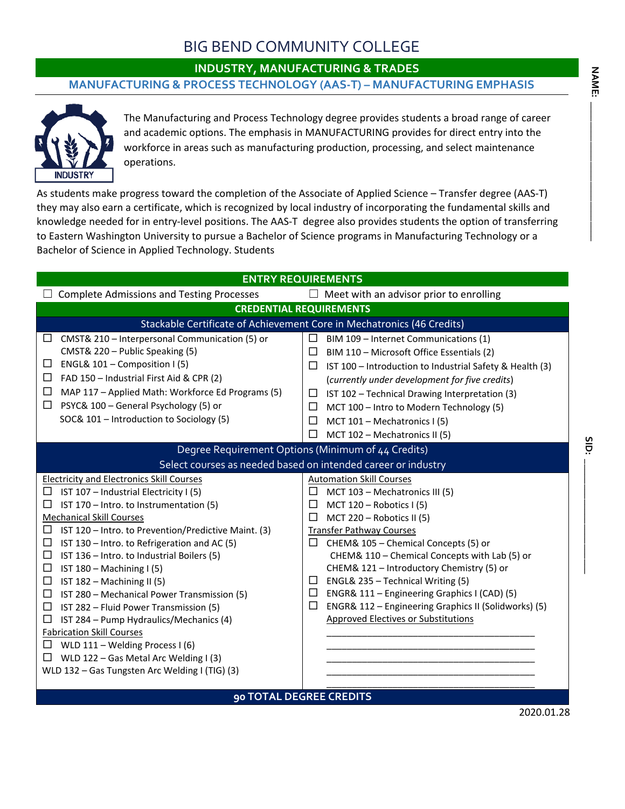# BIG BEND COMMUNITY COLLEGE

**INDUSTRY, MANUFACTURING & TRADES** 

### **MANUFACTURING & PROCESS TECHNOLOGY (AAS-T) – MANUFACTURING EMPHASIS**



The Manufacturing and Process Technology degree provides students a broad range of career and academic options. The emphasis in MANUFACTURING provides for direct entry into the workforce in areas such as manufacturing production, processing, and select maintenance operations.

As students make progress toward the completion of the Associate of Applied Science – Transfer degree (AAS-T) they may also earn a certificate, which is recognized by local industry of incorporating the fundamental skills and knowledge needed for in entry-level positions. The AAS-T degree also provides students the option of transferring to Eastern Washington University to pursue a Bachelor of Science programs in Manufacturing Technology or a Bachelor of Science in Applied Technology. Students

| <b>ENTRY REQUIREMENTS</b>                                                                                                                                                                                                                                                                                                                                                                                                                                                                                                                                                                                                                                                                                                                                                        |                                                                                                                                                                                                                                                                                                                                                                                                                                                                                                                                             |  |  |  |  |
|----------------------------------------------------------------------------------------------------------------------------------------------------------------------------------------------------------------------------------------------------------------------------------------------------------------------------------------------------------------------------------------------------------------------------------------------------------------------------------------------------------------------------------------------------------------------------------------------------------------------------------------------------------------------------------------------------------------------------------------------------------------------------------|---------------------------------------------------------------------------------------------------------------------------------------------------------------------------------------------------------------------------------------------------------------------------------------------------------------------------------------------------------------------------------------------------------------------------------------------------------------------------------------------------------------------------------------------|--|--|--|--|
| <b>Complete Admissions and Testing Processes</b>                                                                                                                                                                                                                                                                                                                                                                                                                                                                                                                                                                                                                                                                                                                                 | $\Box$ Meet with an advisor prior to enrolling                                                                                                                                                                                                                                                                                                                                                                                                                                                                                              |  |  |  |  |
| <b>CREDENTIAL REQUIREMENTS</b>                                                                                                                                                                                                                                                                                                                                                                                                                                                                                                                                                                                                                                                                                                                                                   |                                                                                                                                                                                                                                                                                                                                                                                                                                                                                                                                             |  |  |  |  |
|                                                                                                                                                                                                                                                                                                                                                                                                                                                                                                                                                                                                                                                                                                                                                                                  | Stackable Certificate of Achievement Core in Mechatronics (46 Credits)                                                                                                                                                                                                                                                                                                                                                                                                                                                                      |  |  |  |  |
| CMST& 210 - Interpersonal Communication (5) or<br>$\Box$<br>CMST& 220 - Public Speaking (5)<br>ENGL& 101 - Composition I (5)<br>$\Box$<br>FAD 150 - Industrial First Aid & CPR (2)<br>□<br>MAP 117 - Applied Math: Workforce Ed Programs (5)<br>□<br>PSYC& 100 - General Psychology (5) or<br>$\Box$<br>SOC& 101 - Introduction to Sociology (5)                                                                                                                                                                                                                                                                                                                                                                                                                                 | $\Box$<br>BIM 109 - Internet Communications (1)<br>□<br>BIM 110 - Microsoft Office Essentials (2)<br>□<br>IST 100 - Introduction to Industrial Safety & Health (3)<br>(currently under development for five credits)<br>IST 102 - Technical Drawing Interpretation (3)<br>$\Box$<br>MCT 100 - Intro to Modern Technology (5)<br>□<br>□<br>MCT 101 - Mechatronics I (5)<br>□<br>MCT 102 - Mechatronics II (5)                                                                                                                                |  |  |  |  |
| Degree Requirement Options (Minimum of 44 Credits)                                                                                                                                                                                                                                                                                                                                                                                                                                                                                                                                                                                                                                                                                                                               |                                                                                                                                                                                                                                                                                                                                                                                                                                                                                                                                             |  |  |  |  |
| Select courses as needed based on intended career or industry                                                                                                                                                                                                                                                                                                                                                                                                                                                                                                                                                                                                                                                                                                                    |                                                                                                                                                                                                                                                                                                                                                                                                                                                                                                                                             |  |  |  |  |
| <b>Electricity and Electronics Skill Courses</b><br>IST 107 - Industrial Electricity I (5)<br>□<br>IST 170 - Intro. to Instrumentation (5)<br>$\Box$<br><b>Mechanical Skill Courses</b><br>IST 120 - Intro. to Prevention/Predictive Maint. (3)<br>□<br>□<br>IST 130 - Intro. to Refrigeration and AC (5)<br>□<br>IST 136 - Intro. to Industrial Boilers (5)<br>□<br>IST $180 - \text{Machine } (5)$<br>□<br>IST 182 - Machining II (5)<br>□<br>IST 280 - Mechanical Power Transmission (5)<br>IST 282 - Fluid Power Transmission (5)<br>□<br>IST 284 - Pump Hydraulics/Mechanics (4)<br>□<br><b>Fabrication Skill Courses</b><br>WLD 111 - Welding Process I (6)<br>$\Box$<br>WLD 122 - Gas Metal Arc Welding I (3)<br>$\Box$<br>WLD 132 - Gas Tungsten Arc Welding I (TIG) (3) | <b>Automation Skill Courses</b><br>MCT 103 - Mechatronics III (5)<br>ப<br>MCT 120 - Robotics I (5)<br>□<br>MCT 220 - Robotics II (5)<br>□<br><b>Transfer Pathway Courses</b><br>CHEM& 105 - Chemical Concepts (5) or<br>ப<br>CHEM& 110 - Chemical Concepts with Lab (5) or<br>CHEM& 121 - Introductory Chemistry (5) or<br>ENGL& 235 - Technical Writing (5)<br>$\Box$<br>□<br>ENGR& 111 - Engineering Graphics I (CAD) (5)<br>ENGR& 112 - Engineering Graphics II (Solidworks) (5)<br>$\Box$<br><b>Approved Electives or Substitutions</b> |  |  |  |  |
| 90 TOTAL DEGREE CREDITS                                                                                                                                                                                                                                                                                                                                                                                                                                                                                                                                                                                                                                                                                                                                                          |                                                                                                                                                                                                                                                                                                                                                                                                                                                                                                                                             |  |  |  |  |

 $rac{5}{10}$ 

**SID: \_\_\_\_\_\_\_\_\_\_\_\_\_\_\_\_\_\_\_\_\_\_\_**

2020.01.28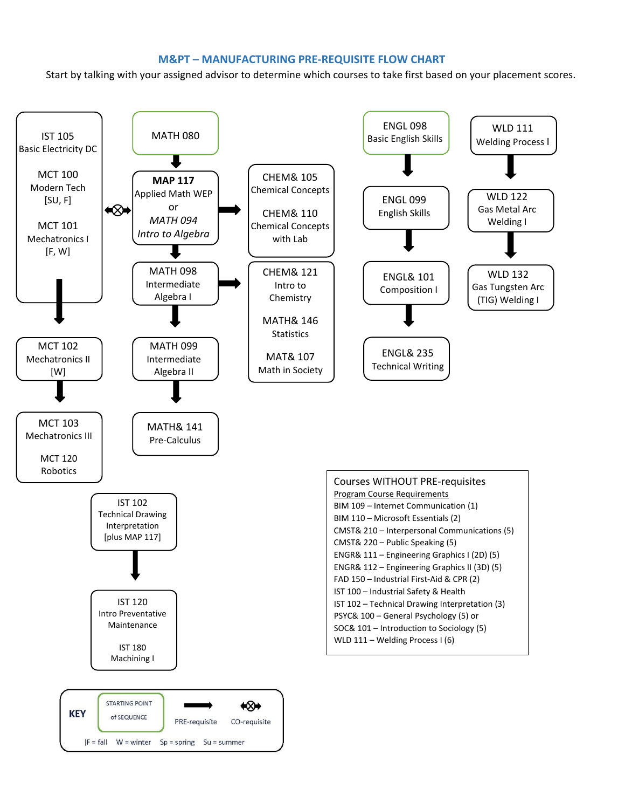### **M&PT – MANUFACTURING PRE-REQUISITE FLOW CHART**

Start by talking with your assigned advisor to determine which courses to take first based on your placement scores.

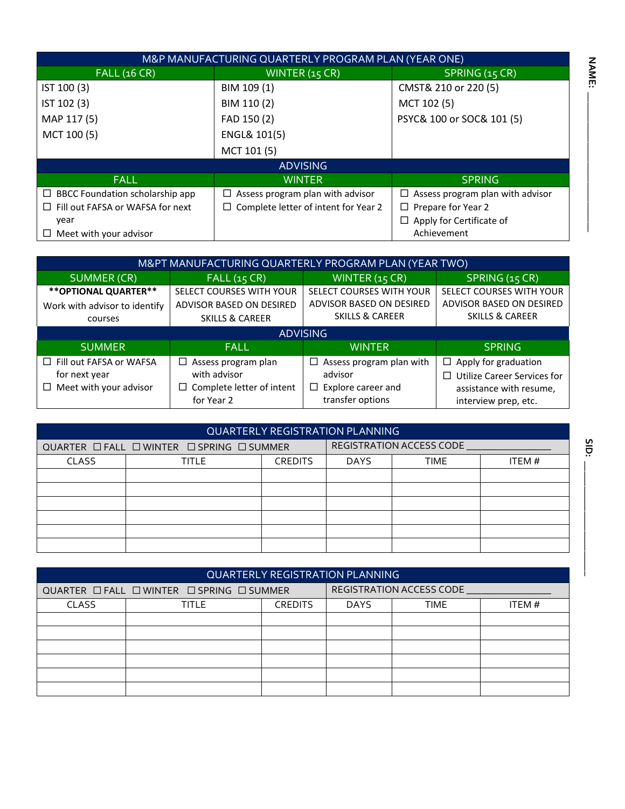| M&P MANUFACTURING QUARTERLY PROGRAM PLAN (YEAR ONE) |                                         |                                         |  |  |
|-----------------------------------------------------|-----------------------------------------|-----------------------------------------|--|--|
| <b>FALL (16 CR)</b>                                 | WINTER (15 CR)                          | SPRING (15 CR)                          |  |  |
| IST 100 (3)                                         | BIM 109 (1)                             | CMST& 210 or 220 (5)                    |  |  |
| IST 102 (3)                                         | BIM 110 (2)                             | MCT 102 (5)                             |  |  |
| MAP 117 (5)                                         | FAD 150 (2)                             | PSYC& 100 or SOC& 101 (5)               |  |  |
| MCT 100 (5)                                         | ENGL& 101(5)                            |                                         |  |  |
|                                                     | MCT 101 (5)                             |                                         |  |  |
|                                                     | <b>ADVISING</b>                         |                                         |  |  |
| <b>FALL</b>                                         | <b>WINTER</b>                           | <b>SPRING</b>                           |  |  |
| $\Box$ BBCC Foundation scholarship app              | $\Box$ Assess program plan with advisor | $\Box$ Assess program plan with advisor |  |  |
| Fill out FAFSA or WAFSA for next<br>$\Box$          | Complete letter of intent for Year 2    | $\Box$ Prepare for Year 2               |  |  |
| year                                                |                                         | Apply for Certificate of                |  |  |
| Meet with your advisor<br>⊔                         |                                         | Achievement                             |  |  |

| M&PT MANUFACTURING QUARTERLY PROGRAM PLAN (YEAR TWO) |                                  |                               |                                    |  |
|------------------------------------------------------|----------------------------------|-------------------------------|------------------------------------|--|
| <b>SUMMER (CR)</b>                                   | FALL(15 CR)                      | WINTER (15 CR)                | SPRING (15 CR)                     |  |
| ** OPTIONAL QUARTER**                                | SELECT COURSES WITH YOUR         | SELECT COURSES WITH YOUR      | SELECT COURSES WITH YOUR           |  |
| Work with advisor to identify                        | ADVISOR BASED ON DESIRED         | ADVISOR BASED ON DESIRED      | ADVISOR BASED ON DESIRED           |  |
| courses                                              | <b>SKILLS &amp; CAREER</b>       | <b>SKILLS &amp; CAREER</b>    | <b>SKILLS &amp; CAREER</b>         |  |
|                                                      |                                  | <b>ADVISING</b>               |                                    |  |
| <b>SUMMER</b>                                        | <b>FALL</b>                      | <b>WINTER</b>                 | SPRING                             |  |
| $\Box$ Fill out FAFSA or WAFSA                       | $\Box$ Assess program plan       | Assess program plan with<br>□ | $\Box$ Apply for graduation        |  |
| for next year                                        | with advisor                     | advisor                       | <b>Utilize Career Services for</b> |  |
| $\Box$ Meet with your advisor                        | $\Box$ Complete letter of intent | Explore career and<br>$\Box$  | assistance with resume,            |  |
|                                                      | for Year 2                       | transfer options              | interview prep, etc.               |  |

| <b>QUARTERLY REGISTRATION PLANNING</b>    |       |                |                          |             |       |
|-------------------------------------------|-------|----------------|--------------------------|-------------|-------|
| QUARTER □ FALL □ WINTER □ SPRING □ SUMMER |       |                | REGISTRATION ACCESS CODE |             |       |
| <b>CLASS</b>                              | TITLE | <b>CREDITS</b> | <b>DAYS</b>              | <b>TIME</b> | ITEM# |
|                                           |       |                |                          |             |       |
|                                           |       |                |                          |             |       |
|                                           |       |                |                          |             |       |
|                                           |       |                |                          |             |       |
|                                           |       |                |                          |             |       |
|                                           |       |                |                          |             |       |

| <b>QUARTERLY REGISTRATION PLANNING</b>    |              |                |                            |  |        |
|-------------------------------------------|--------------|----------------|----------------------------|--|--------|
| QUARTER □ FALL □ WINTER □ SPRING □ SUMMER |              |                | REGISTRATION ACCESS CODE   |  |        |
| <b>CLASS</b>                              | <b>TITLE</b> | <b>CREDITS</b> | <b>DAYS</b><br><b>TIME</b> |  | ITEM # |
|                                           |              |                |                            |  |        |
|                                           |              |                |                            |  |        |
|                                           |              |                |                            |  |        |
|                                           |              |                |                            |  |        |
|                                           |              |                |                            |  |        |
|                                           |              |                |                            |  |        |

**NAME: \_\_\_\_\_\_\_\_\_\_\_\_\_\_\_\_\_\_\_\_\_\_\_\_\_\_\_\_**

**NAME:** 

 $\overline{1}$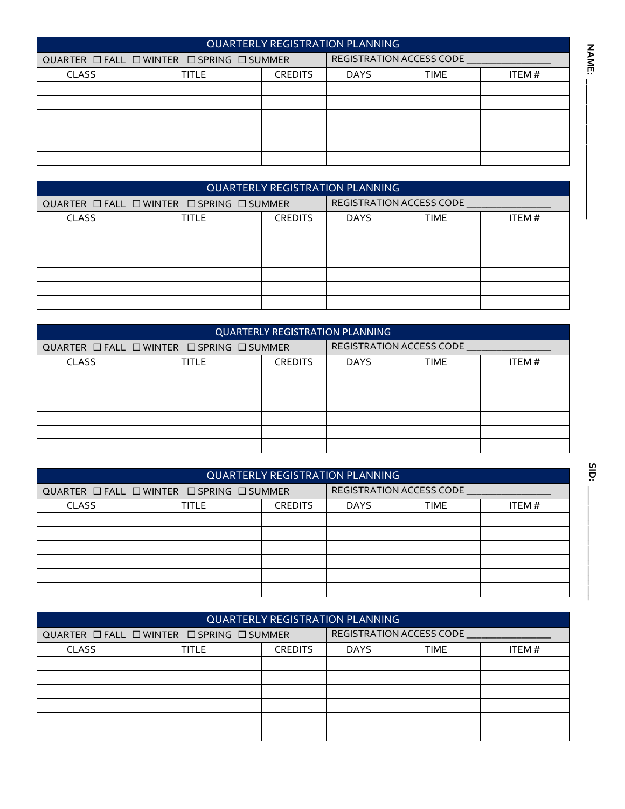| <b>QUARTERLY REGISTRATION PLANNING</b>    |       |                |                                 |  |        |
|-------------------------------------------|-------|----------------|---------------------------------|--|--------|
| QUARTER □ FALL □ WINTER □ SPRING □ SUMMER |       |                | <b>REGISTRATION ACCESS CODE</b> |  |        |
| <b>CLASS</b>                              | TITLE | <b>CREDITS</b> | <b>DAYS</b><br>TIME             |  | ITEM # |
|                                           |       |                |                                 |  |        |
|                                           |       |                |                                 |  |        |
|                                           |       |                |                                 |  |        |
|                                           |       |                |                                 |  |        |
|                                           |       |                |                                 |  |        |
|                                           |       |                |                                 |  |        |

|                                           | <b>QUARTERLY REGISTRATION PLANNING</b> |                |                            |  |        |  |
|-------------------------------------------|----------------------------------------|----------------|----------------------------|--|--------|--|
| QUARTER □ FALL □ WINTER □ SPRING □ SUMMER |                                        |                | REGISTRATION ACCESS CODE   |  |        |  |
| <b>CLASS</b>                              | TITLE                                  | <b>CREDITS</b> | <b>DAYS</b><br><b>TIME</b> |  | ITEM # |  |
|                                           |                                        |                |                            |  |        |  |
|                                           |                                        |                |                            |  |        |  |
|                                           |                                        |                |                            |  |        |  |
|                                           |                                        |                |                            |  |        |  |
|                                           |                                        |                |                            |  |        |  |
|                                           |                                        |                |                            |  |        |  |

| <b>QUARTERLY REGISTRATION PLANNING</b>    |              |                |                                 |             |       |
|-------------------------------------------|--------------|----------------|---------------------------------|-------------|-------|
| QUARTER □ FALL □ WINTER □ SPRING □ SUMMER |              |                | <b>REGISTRATION ACCESS CODE</b> |             |       |
| <b>CLASS</b>                              | <b>TITLE</b> | <b>CREDITS</b> | <b>DAYS</b>                     | <b>TIME</b> | ITEM# |
|                                           |              |                |                                 |             |       |
|                                           |              |                |                                 |             |       |
|                                           |              |                |                                 |             |       |
|                                           |              |                |                                 |             |       |
|                                           |              |                |                                 |             |       |
|                                           |              |                |                                 |             |       |

|                                           | <b>QUARTERLY REGISTRATION PLANNING</b> |                |                          |             |       |  |
|-------------------------------------------|----------------------------------------|----------------|--------------------------|-------------|-------|--|
| QUARTER □ FALL □ WINTER □ SPRING □ SUMMER |                                        |                | REGISTRATION ACCESS CODE |             |       |  |
| <b>CLASS</b>                              | <b>TITLE</b>                           | <b>CREDITS</b> | <b>DAYS</b>              | <b>TIME</b> | ITEM# |  |
|                                           |                                        |                |                          |             |       |  |
|                                           |                                        |                |                          |             |       |  |
|                                           |                                        |                |                          |             |       |  |
|                                           |                                        |                |                          |             |       |  |
|                                           |                                        |                |                          |             |       |  |
|                                           |                                        |                |                          |             |       |  |

| <b>QUARTERLY REGISTRATION PLANNING</b>    |              |                |                                 |             |       |
|-------------------------------------------|--------------|----------------|---------------------------------|-------------|-------|
| QUARTER □ FALL □ WINTER □ SPRING □ SUMMER |              |                | <b>REGISTRATION ACCESS CODE</b> |             |       |
| <b>CLASS</b>                              | <b>TITLE</b> | <b>CREDITS</b> | <b>DAYS</b>                     | <b>TIME</b> | ITEM# |
|                                           |              |                |                                 |             |       |
|                                           |              |                |                                 |             |       |
|                                           |              |                |                                 |             |       |
|                                           |              |                |                                 |             |       |
|                                           |              |                |                                 |             |       |
|                                           |              |                |                                 |             |       |

**NAME: \_\_\_\_\_\_\_\_\_\_\_\_\_\_\_\_\_\_\_\_\_\_\_\_\_\_\_\_**

NAME: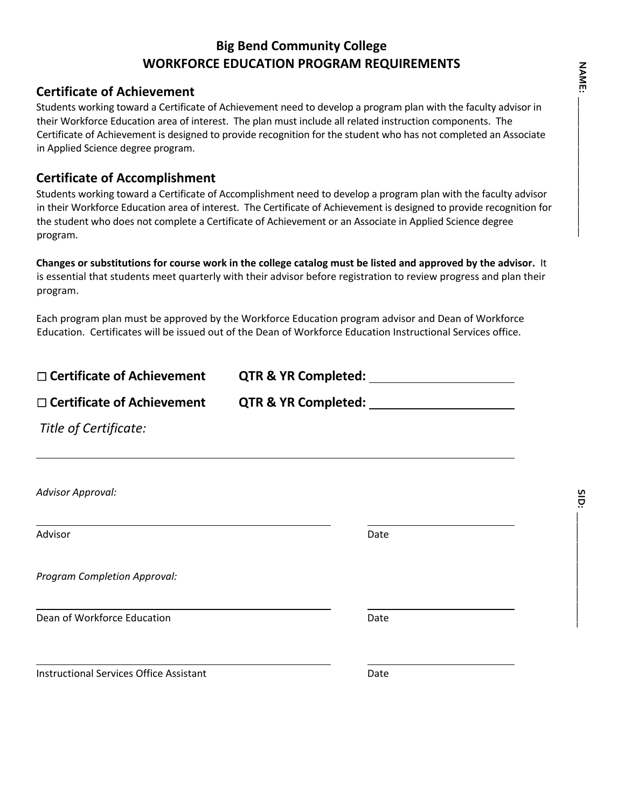# **Big Bend Community College WORKFORCE EDUCATION PROGRAM REQUIREMENTS**

### **Certificate of Achievement**

Students working toward a Certificate of Achievement need to develop a program plan with the faculty advisor in their Workforce Education area of interest. The plan must include all related instruction components. The Certificate of Achievement is designed to provide recognition for the student who has not completed an Associate in Applied Science degree program.

## **Certificate of Accomplishment**

Students working toward a Certificate of Accomplishment need to develop a program plan with the faculty advisor in their Workforce Education area of interest. The Certificate of Achievement is designed to provide recognition for the student who does not complete a Certificate of Achievement or an Associate in Applied Science degree program.

**Changes or substitutions for course work in the college catalog must be listed and approved by the advisor.** It is essential that students meet quarterly with their advisor before registration to review progress and plan their program.

Each program plan must be approved by the Workforce Education program advisor and Dean of Workforce Education. Certificates will be issued out of the Dean of Workforce Education Instructional Services office.

| $\Box$ Certificate of Achievement              | QTR & YR Completed: 1997    |      |
|------------------------------------------------|-----------------------------|------|
| $\Box$ Certificate of Achievement              | QTR & YR Completed: _______ |      |
| Title of Certificate:                          |                             |      |
|                                                |                             |      |
| Advisor Approval:                              |                             |      |
| Advisor                                        |                             | Date |
| Program Completion Approval:                   |                             |      |
| Dean of Workforce Education                    |                             | Date |
| <b>Instructional Services Office Assistant</b> |                             | Date |

**SID: \_\_\_\_\_\_\_\_\_\_\_\_\_\_\_\_\_\_\_\_\_\_\_**

SID: